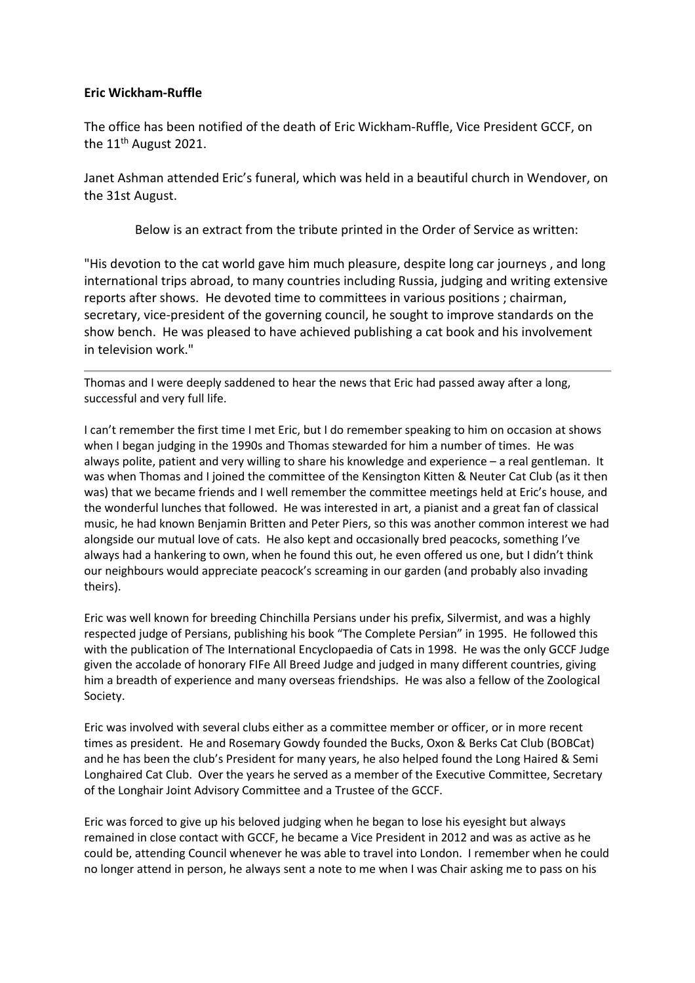# **Eric Wickham-Ruffle**

The office has been notified of the death of Eric Wickham-Ruffle, Vice President GCCF, on the 11<sup>th</sup> August 2021.

Janet Ashman attended Eric's funeral, which was held in a beautiful church in Wendover, on the 31st August.

Below is an extract from the tribute printed in the Order of Service as written:

"His devotion to the cat world gave him much pleasure, despite long car journeys , and long international trips abroad, to many countries including Russia, judging and writing extensive reports after shows. He devoted time to committees in various positions ; chairman, secretary, vice-president of the governing council, he sought to improve standards on the show bench. He was pleased to have achieved publishing a cat book and his involvement in television work."

Thomas and I were deeply saddened to hear the news that Eric had passed away after a long, successful and very full life.

I can't remember the first time I met Eric, but I do remember speaking to him on occasion at shows when I began judging in the 1990s and Thomas stewarded for him a number of times. He was always polite, patient and very willing to share his knowledge and experience – a real gentleman. It was when Thomas and I joined the committee of the Kensington Kitten & Neuter Cat Club (as it then was) that we became friends and I well remember the committee meetings held at Eric's house, and the wonderful lunches that followed. He was interested in art, a pianist and a great fan of classical music, he had known Benjamin Britten and Peter Piers, so this was another common interest we had alongside our mutual love of cats. He also kept and occasionally bred peacocks, something I've always had a hankering to own, when he found this out, he even offered us one, but I didn't think our neighbours would appreciate peacock's screaming in our garden (and probably also invading theirs).

Eric was well known for breeding Chinchilla Persians under his prefix, Silvermist, and was a highly respected judge of Persians, publishing his book "The Complete Persian" in 1995. He followed this with the publication of The International Encyclopaedia of Cats in 1998. He was the only GCCF Judge given the accolade of honorary FIFe All Breed Judge and judged in many different countries, giving him a breadth of experience and many overseas friendships. He was also a fellow of the Zoological Society.

Eric was involved with several clubs either as a committee member or officer, or in more recent times as president. He and Rosemary Gowdy founded the Bucks, Oxon & Berks Cat Club (BOBCat) and he has been the club's President for many years, he also helped found the Long Haired & Semi Longhaired Cat Club. Over the years he served as a member of the Executive Committee, Secretary of the Longhair Joint Advisory Committee and a Trustee of the GCCF.

Eric was forced to give up his beloved judging when he began to lose his eyesight but always remained in close contact with GCCF, he became a Vice President in 2012 and was as active as he could be, attending Council whenever he was able to travel into London. I remember when he could no longer attend in person, he always sent a note to me when I was Chair asking me to pass on his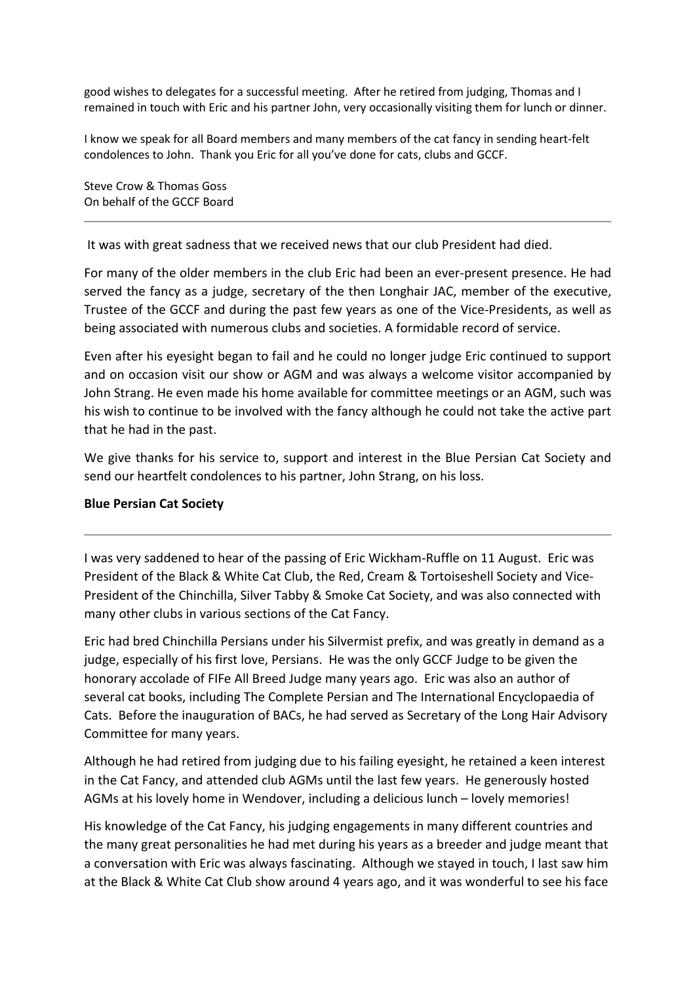good wishes to delegates for a successful meeting. After he retired from judging, Thomas and I remained in touch with Eric and his partner John, very occasionally visiting them for lunch or dinner.

I know we speak for all Board members and many members of the cat fancy in sending heart-felt condolences to John. Thank you Eric for all you've done for cats, clubs and GCCF.

Steve Crow & Thomas Goss On behalf of the GCCF Board

It was with great sadness that we received news that our club President had died.

For many of the older members in the club Eric had been an ever-present presence. He had served the fancy as a judge, secretary of the then Longhair JAC, member of the executive, Trustee of the GCCF and during the past few years as one of the Vice-Presidents, as well as being associated with numerous clubs and societies. A formidable record of service.

Even after his eyesight began to fail and he could no longer judge Eric continued to support and on occasion visit our show or AGM and was always a welcome visitor accompanied by John Strang. He even made his home available for committee meetings or an AGM, such was his wish to continue to be involved with the fancy although he could not take the active part that he had in the past.

We give thanks for his service to, support and interest in the Blue Persian Cat Society and send our heartfelt condolences to his partner, John Strang, on his loss.

# **Blue Persian Cat Society**

I was very saddened to hear of the passing of Eric Wickham-Ruffle on 11 August. Eric was President of the Black & White Cat Club, the Red, Cream & Tortoiseshell Society and Vice-President of the Chinchilla, Silver Tabby & Smoke Cat Society, and was also connected with many other clubs in various sections of the Cat Fancy.

Eric had bred Chinchilla Persians under his Silvermist prefix, and was greatly in demand as a judge, especially of his first love, Persians. He was the only GCCF Judge to be given the honorary accolade of FIFe All Breed Judge many years ago. Eric was also an author of several cat books, including The Complete Persian and The International Encyclopaedia of Cats. Before the inauguration of BACs, he had served as Secretary of the Long Hair Advisory Committee for many years.

Although he had retired from judging due to his failing eyesight, he retained a keen interest in the Cat Fancy, and attended club AGMs until the last few years. He generously hosted AGMs at his lovely home in Wendover, including a delicious lunch – lovely memories!

His knowledge of the Cat Fancy, his judging engagements in many different countries and the many great personalities he had met during his years as a breeder and judge meant that a conversation with Eric was always fascinating. Although we stayed in touch, I last saw him at the Black & White Cat Club show around 4 years ago, and it was wonderful to see his face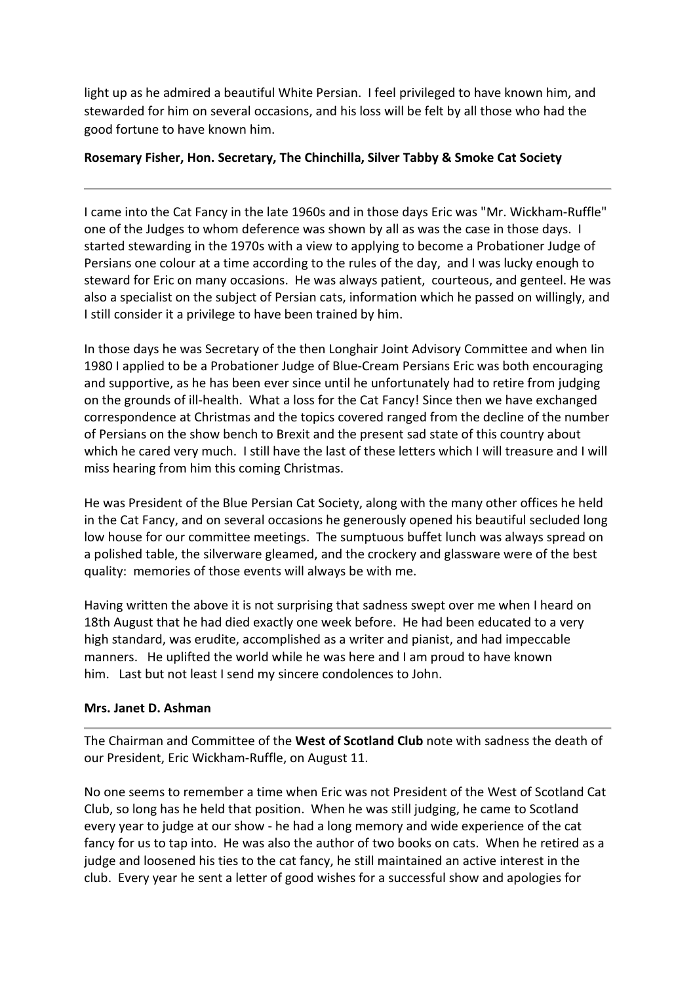light up as he admired a beautiful White Persian. I feel privileged to have known him, and stewarded for him on several occasions, and his loss will be felt by all those who had the good fortune to have known him.

# **Rosemary Fisher, Hon. Secretary, The Chinchilla, Silver Tabby & Smoke Cat Society**

I came into the Cat Fancy in the late 1960s and in those days Eric was "Mr. Wickham-Ruffle" one of the Judges to whom deference was shown by all as was the case in those days. I started stewarding in the 1970s with a view to applying to become a Probationer Judge of Persians one colour at a time according to the rules of the day, and I was lucky enough to steward for Eric on many occasions. He was always patient, courteous, and genteel. He was also a specialist on the subject of Persian cats, information which he passed on willingly, and I still consider it a privilege to have been trained by him.

In those days he was Secretary of the then Longhair Joint Advisory Committee and when Iin 1980 I applied to be a Probationer Judge of Blue-Cream Persians Eric was both encouraging and supportive, as he has been ever since until he unfortunately had to retire from judging on the grounds of ill-health. What a loss for the Cat Fancy! Since then we have exchanged correspondence at Christmas and the topics covered ranged from the decline of the number of Persians on the show bench to Brexit and the present sad state of this country about which he cared very much. I still have the last of these letters which I will treasure and I will miss hearing from him this coming Christmas.

He was President of the Blue Persian Cat Society, along with the many other offices he held in the Cat Fancy, and on several occasions he generously opened his beautiful secluded long low house for our committee meetings. The sumptuous buffet lunch was always spread on a polished table, the silverware gleamed, and the crockery and glassware were of the best quality: memories of those events will always be with me.

Having written the above it is not surprising that sadness swept over me when I heard on 18th August that he had died exactly one week before. He had been educated to a very high standard, was erudite, accomplished as a writer and pianist, and had impeccable manners. He uplifted the world while he was here and I am proud to have known him. Last but not least I send my sincere condolences to John.

# **Mrs. Janet D. Ashman**

The Chairman and Committee of the **West of Scotland Club** note with sadness the death of our President, Eric Wickham-Ruffle, on August 11.

No one seems to remember a time when Eric was not President of the West of Scotland Cat Club, so long has he held that position. When he was still judging, he came to Scotland every year to judge at our show - he had a long memory and wide experience of the cat fancy for us to tap into. He was also the author of two books on cats. When he retired as a judge and loosened his ties to the cat fancy, he still maintained an active interest in the club. Every year he sent a letter of good wishes for a successful show and apologies for